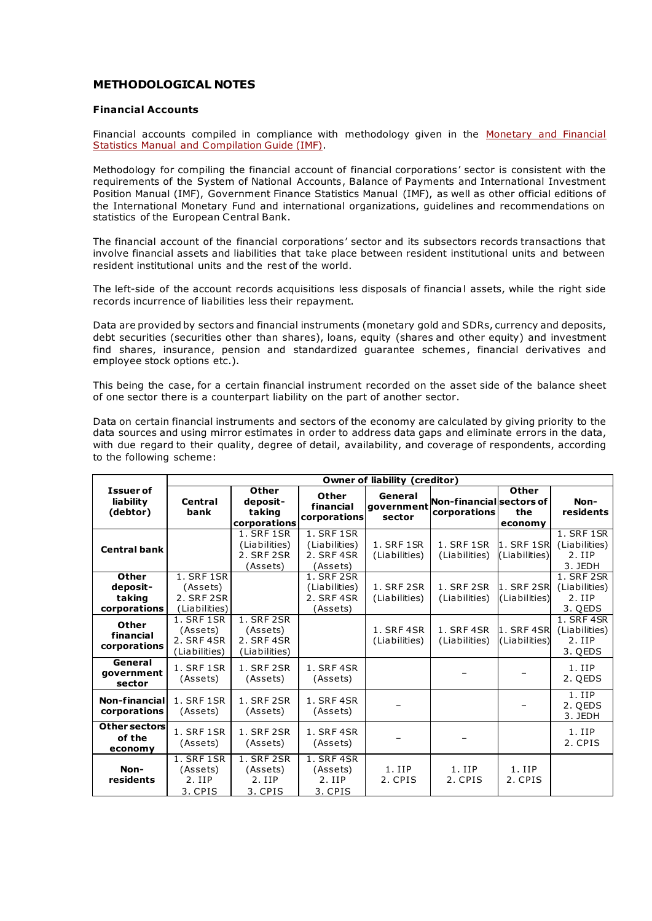## **METHODOLOGICAL NOTES**

## **[Financial Accounts](mailto:control/en/publish/article?showHidden=1&art_id=27893044&cat_id=8782106&ctime=1456402130048%233)**

Financial accounts compiled in compliance with methodology given in the Monetary and Financial [Statistics Manual and Compilation Guide \(IMF\).](http://www.imf.org/en/~/media/87F002A9CC784DF786797A6526A98D54.ashx)

Methodology for compiling the financial account of financial corporations' sector is consistent with the requirements of the System of National Accounts, Balance of Payments and International Investment Position Manual (IMF), Government Finance Statistics Manual (IMF), as well as other official editions of the International Monetary Fund and international organizations, guidelines and recommendations on statistics of the European Central Bank.

The financial account of the financial corporations' sector and its subsectors records transactions that involve financial assets and liabilities that take place between resident institutional units and between resident institutional units and the rest of the world.

The left-side of the account records acquisitions less disposals of financial assets, while the right side records incurrence of liabilities less their repayment.

Data are provided by sectors and financial instruments (monetary gold and SDRs, currency and deposits, debt securities (securities other than shares), loans, equity (shares and other equity) and investment find shares, insurance, pension and standardized guarantee schemes, financial derivatives and employee stock options etc.).

This being the case, for a certain financial instrument recorded on the asset side of the balance sheet of one sector there is a counterpart liability on the part of another sector.

Data on certain financial instruments and sectors of the economy are calculated by giving priority to the data sources and using mirror estimates in order to address data gaps and eliminate errors in the data, with due regard to their quality, degree of detail, availability, and coverage of respondents, according to the following scheme:

|                                                    | Owner of liability (creditor)                                |                                                       |                                                       |                                    |                                            |                             |                                                    |
|----------------------------------------------------|--------------------------------------------------------------|-------------------------------------------------------|-------------------------------------------------------|------------------------------------|--------------------------------------------|-----------------------------|----------------------------------------------------|
| <b>Issuer of</b><br>liability<br>(debtor)          | Central<br>bank                                              | Other<br>deposit-<br>taking<br>corporations           | Other<br>financial<br>corporations                    | General<br>qovernment<br>sector    | Non-financiallsectors of l<br>corporations | Other<br>the<br>economy     | Non-<br>residents                                  |
| <b>Central bank</b>                                |                                                              | 1. SRF 1SR<br>(Liabilities)<br>2. SRF 2SR<br>(Assets) | 1. SRF 1SR<br>(Liabilities)<br>2. SRF 4SR<br>(Assets) | 1. SRF 1SR<br>(Liabilities)        | <b>1. SRF 1SR</b><br>(Liabilities)         | 1. SRF 1SR<br>(Liabilities) | 1. SRF 1SR<br>(Liabilities)<br>$2.$ IIP<br>3. JEDH |
| <b>Other</b><br>deposit-<br>taking<br>corporations | 1. SRF 1SR<br>(Assets)<br>2. SRF 2SR<br>(Liabilities)        |                                                       | 1. SRF 2SR<br>(Liabilities)<br>2. SRF 4SR<br>(Assets) | 1. SRF 2SR<br>(Liabilities)        | 1. SRF 2SR<br>(Liabilities)                | 1. SRF 2SR<br>(Liabilities) | 1. SRF 2SR<br>(Liabilities)<br>2. IIP<br>3. QEDS   |
| Other<br>financial<br>corporations                 | <b>1. SRF 1SR</b><br>(Assets)<br>2. SRF 4SR<br>(Liabilities) | 1. SRF 2SR<br>(Assets)<br>2. SRF 4SR<br>(Liabilities) |                                                       | <b>1. SRF 4SR</b><br>(Liabilities) | <b>1. SRF 4SR</b><br>(Liabilities)         | 1. SRF 4SR<br>(Liabilities) | 1. SRF 4SR<br>(Liabilities)<br>$2.$ IIP<br>3. QEDS |
| General<br>qovernment<br>sector                    | 1. SRF 1SR<br>(Assets)                                       | 1. SRF 2SR<br>(Assets)                                | 1. SRF 4SR<br>(Assets)                                |                                    |                                            |                             | $1.$ IIP<br>2. QEDS                                |
| Non-financial<br>corporations                      | 1. SRF 1SR<br>(Assets)                                       | 1. SRF 2SR<br>(Assets)                                | 1. SRF 4SR<br>(Assets)                                |                                    |                                            |                             | $1.$ IIP<br>2. QEDS<br>3. JEDH                     |
| Other sectors<br>of the<br>economy                 | 1. SRF 1SR<br>(Assets)                                       | 1. SRF 2SR<br>(Assets)                                | 1. SRF 4SR<br>(Assets)                                |                                    |                                            |                             | $1.$ IIP<br>2. CPIS                                |
| Non-<br>residents                                  | 1. SRF 1SR<br>(Assets)<br>$2.$ IIP<br>3. CPIS                | 1. SRF 2SR<br>(Assets)<br>2.IIP<br>3. CPIS            | 1. SRF 4SR<br>(Assets)<br>$2.$ IIP<br>3. CPIS         | $1.$ IIP<br>2. CPIS                | $1.$ IIP<br>2. CPIS                        | $1.$ IIP<br>2. CPIS         |                                                    |